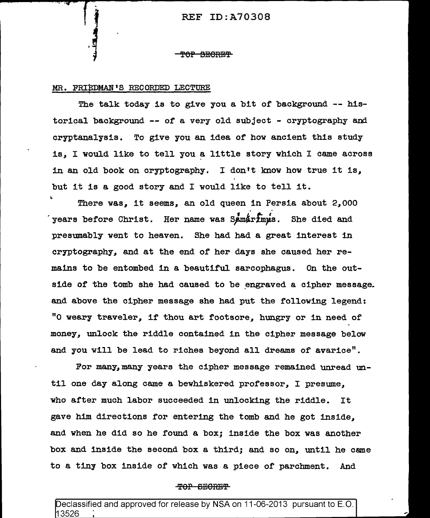#### <del>TOP SECRET</del>

# MR. FRIEDMAN'S RECORDED LECTURE

The talk today is to give you a bit of background -- historical background -- of a very old subject - cryptography and cryptanalysis. To give you an idea of how ancient this study is, I would like to tell you a little story which I came across in an old book on cryptography. I don't know how true it is, but it is a good story and I would like to tell it.

There was, it seems, an old queen in Persia about  $2,000$ years before Christ. Her name was Samarimus. She died and presumably went to heaven. She had had a great interest in cryptography, and at the end of her days she caused her remains to be entombed in a beautiful sarcophagus. On the outside of the tomb she had caused to be engraved a cipher message. and above the cipher message she had put the following legend: "O weary traveler, if thou art footsore, hungry or in need of money, unlock the riddle contained in the cipher message below and you will be lead to riches beyond all dreams of avarice".

For many,many years the cipher message remained unread until one day along came a bewhiskered professor, I presume, who after much labor succeeded in unlocking the riddle. It gave him directions for entering the tomb and he got inside, and when he did so he found a box; inside the box was another box and inside the second box a third; and so on, until he came to a tiny box inside of which was a piece of parchment. And

#### TOP BEORET

Declassified and approved for release by NSA on 11-06-2013 pursuant to E.O. 13526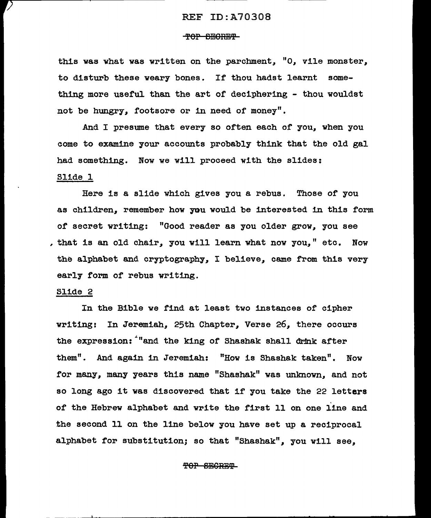## TOP BEORET

this was what was written on the parchment, "O, vile monster, to disturb these weary bones. If thou hadst learnt something more useful than the art of deciphering - thou wouldst not be hungry, footsore or in need of money".

And I presume that every so often each of you, when you come to examine your accounts probably think that the old gal had something. Now we will proceed with the slides:

# Slide 1

Here is a slide which gives you a. rebus. Those of you as children, remember how rou would be interested in this form of secret writing: "Good reader as you older grow, you see , that is an old chair, you will learn what now you," etc. Now the alphabet and cryptography, I believe, came from this very early form of rebus writing.

## Slide 2

In the Bible we find at least two instances of cipher writing: In Jeremiah, 25th Chapter, Verse 26, there occurs the expression: "and the king of Shashak shall drink after them". And again in Jeremiah: "How is Shashak taken". Now for many, many years this name "Shashak" was unknown, and not so long ago it was discovered that if you take the 22 letters of the Hebrew alphabet and write the first 11 on one line and the second 11 on the line below you have set up a reciprocal alphabet for substitution; so that "Shashak", you will see,

# TOP SECRET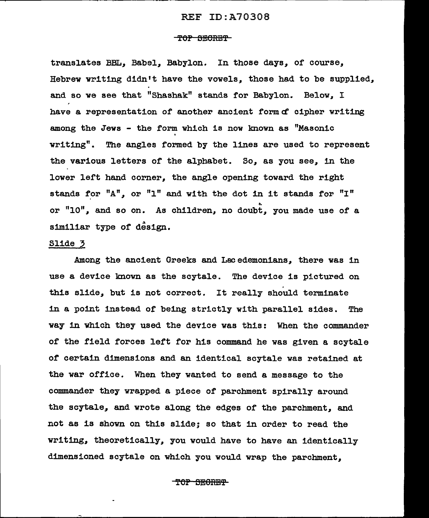## TOP SECRET

translates *BBL,* Babel, Babylon. In those days, or course, Hebrew writing didn't have the vowels, those had to be supplied, and so we see that "Shashak" stands for Babylon. Below, I have a representation of another ancient form of cipher writing among the Jews - the form which is now lmown as "Masonic  $written$ . The angles formed by the lines are used to represent the various letters of the alphabet. So, as you see, in the lower left hand corner, the angle opening toward the right stands for "A", or "1" and with the dot in it stands for "I" or "10", and so on. As children, no doubt, you made use of a similiar type of design.

# Slide 3

Among the ancient Greeks and Lacedemonians, there was in use a device known as the scytale. The device is pictured on this slide, but is not correct. It really should terminate in a point instead of being strictly with parallel sides. The way 1n which they used the device was this: When the commander of the field forces left for his command he was given a scytale of certain dimensions and an identical scytale was retained at the war office. When they wanted to send a message to the commander they wrapped a piece of parchment spirally around the scytale, and wrote along the edges of the parchment, and not as is shown on this slide; so that in order to read the writing, theoretically, you would have to have an identically dimensioned scytale on which you would wrap the parchment.

TOP BEORET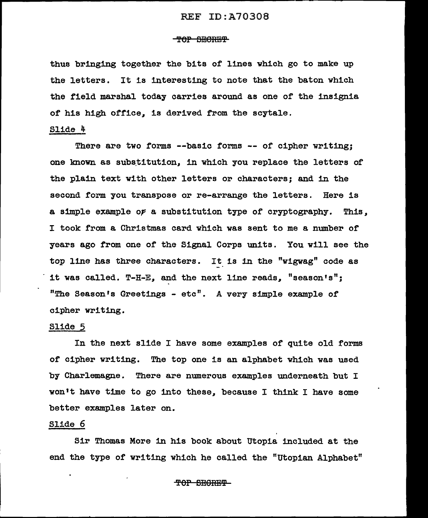#### TOP SECRET

thus bringing together the bits of lines which go to make up the letters. It is interesting to note that the baton which the field marshal today carries around as one of the insignia of his high office, is derived from the scytale.

# Slide 4

There are two forms --basic forms -- of cipher writing; one known as substitution, in which you replace the letters of the plain text with other letters or characters; and in the second form you transpose or re-arrange the letters. Here is a simple example of a substitution type of cryptography. This, I took from a Christmas card which was sent to me a number of years ago from one of the Signal Corps units. You will see the top line has three characters. It is in the "wigwag" code as it was called. T-H-E, and the next line reads, "season's"; "The Season's Greetings - etc". A very simple example of cipher writing.

## Slide 5

In the next slide I have some examples of quite old forms of ciphex• writing. The top one is an alphabet which was used by Charlemagne. There are numerous examples underneath but I won't have time to go into these, because I think I have some better examples later on.

# Slide 6

Sir Thomas More in his book about Utopia included at the end the type of writing which he called the "Utopian Alphabet"

TOP SEGRET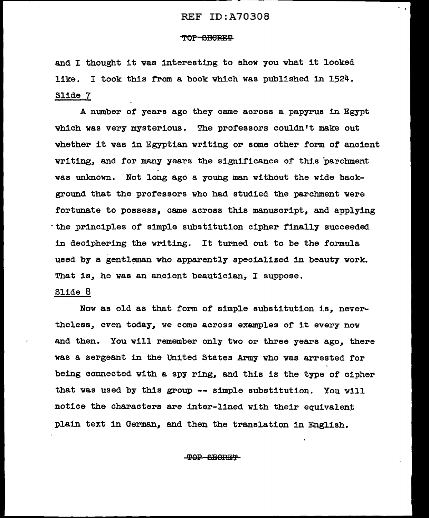#### TOP BEGRET

and I thought it was interesting to show you what it looked like. I took this from a book which was published in 1524. Slide 7

A number or years ago they came across a papyrus in Egypt which was very mysterious. The professors couldn't make out whether it was in Egyptian writing or some other form *ot* ancient writing, and for many years the significance or this parchment was unknown. Not long ago a young man without the wide background that the professors who had studied the parchment were fortunate to possess, came across this manuscript, and applying -the principles of simple substitution cipher finally succeeded 1n deciphering the writing. It turned out to be the formula used by a gentleman who apparently specialized in beauty work. That is, he was an ancient beautician, I suppose.

#### Slide 8

Now as old as that form of simple substitution is, nevertheless, even today, we come across examples of it every now and then. You will remember only two or three years ago, there was a sergeant in the United States Army who was arrested for being connected with a spy ring, and this is the type or cipher that was used by this group -- simple substitution. You w111 notice the characters are inter-lined with their equivalent plain text in German, and then the translation in English.

'l'OP SBORB'l'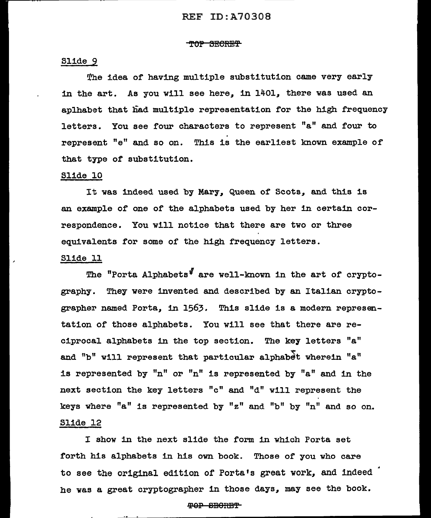#### TOP SECRET

# Slide 9

The idea of having multiple substitution came very early in the art. As you will see here, in 1401, there was used an aplhabet that had multiple representation for the high frequency letters. You see four characters to represent "a" and four to represent "e" and so on. This is the earliest known example of that type or substitution.

# Slide 10

It was indeed used by Mary, Queen of Scots, and this is an example or one of the alphabets used by her in certain correspondence. You will notice that there are two or three equivalents for some of the high frequency letters.

# Slide 11

The "Porta Alphabets" are well-known in the art of cryptography. They were invented and described by an Italian cryptographer named Porta, in 1563. This slide is a modern representation or those alphabets. You will see that there are reciprocal alphabets in the top section. The key letters "a" and "b" will represent that particular alphabet wherein "a" is represented by "n" or "n" is represented by "a" and in the next section the key letters "c" and "d" will represent the keys where "a" is represented by "z" and "b" by "n" and so on. Slide 12

I show in the next slide the form in which Porta set forth his alphabets in his own book. Those of you who care to see the original edition of Porta's great work, and indeed he was a great cryptographer in those days, may see the book.

# 9?9P 8EIORB'f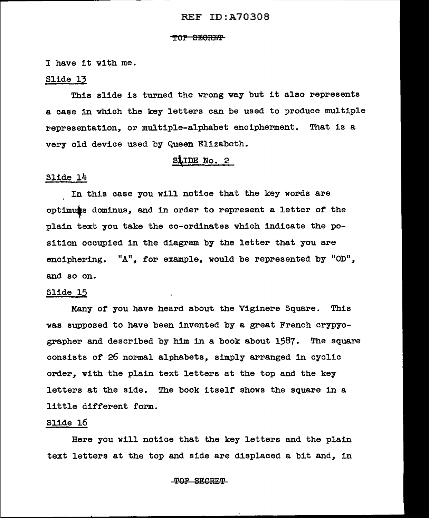#### TOP SECRET

I have it with me.

## Slide 13

This slide is turned the wrong way but it also represents a case in which the key letters can be used to produce multiple representation, or multiple-alphabet encipherment. That is a very old device used by Queen Elizabeth.

# SLIDE No. 2

# Slide 14

In this case you will notice that the key words are optimuss dominus, and in order to represent a letter of the plain text you take the co-ordinates which indicate the position occupied in the diagram by the letter that you are enciphering. *"A",* for example, would be represented by "OD", and so on.

# Slide 15

Many of you have heard about the Viginere Square. This was supposed to have been invented by a great French crypyographer and described by him in a book about  $1587$ . The square consists of 26 normal alphabets, simply arranged in cyclic order, with the plain text letters at the top and the key letters at the side. The book itself shows the square in a little different form.

## Slide 16

Here you will notice that the key letters and the plain text letters at the top and side are displaced a bit and, in

#### TOP SECRET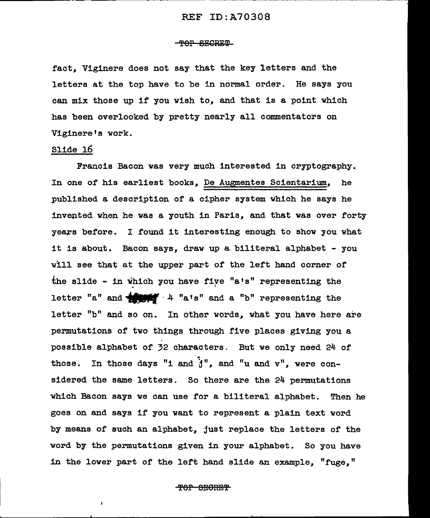#### <del>-TOP SECRET</del>

fact, Viginere does not say that the key letters and the letters at the top have to be in normal order. He says you can mix those up if you wish *to,* and that is a point which has been overlooked by pretty nearly all commentators on Viginere's work.

# Slide 16

J

Francis Bacon was very much interested in cryptography. In one of his earliest books, De Augmentes Scientarium, he published a description of a cipher system which he says he invepted when he was a youth in Paris, and that was over forty years before. I found it interesting enough to show you what it is about. Bacon says, draw up a biliteral alphabet - you will see that at the upper part of the left hand corner of the slide - in which you have fiye "a's" representing the letter "a" and  $\frac{1}{2}$   $\frac{1}{2}$   $\frac{1}{2}$  "a's" and a "b" representing the letter "b" and so on. In other words, what you have here are permutations of two things through five places giving you a possible alphabet of 32 characters. But we only need 24 of ' those. In those days "1 and *j",* and "u and *v",* were considered the same letters. So there are the 24 permutations which Bacon says we can use for a biliteral alphabet. Then he goes on and says if you want to represent a plain text word by means of such an alphabet, just replace the letters of the word by the permutations given in your alphabet. So you have in the lower part of the left hand slide an example, "fuge,"

#### <del>-TOP SEORET</del>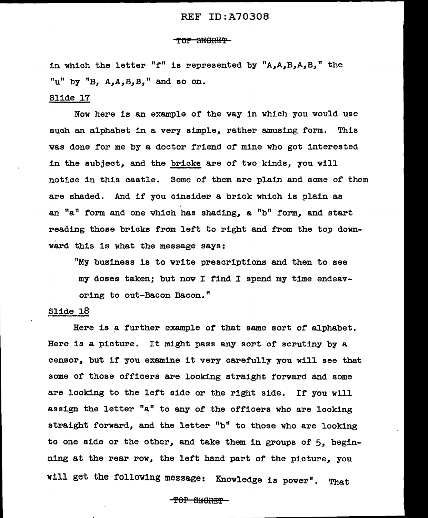#### T6P SEGRET

in which the letter "f" is represented by  $"A, A, B, A, B,$ " the "u" by "B,  $A, A, B, B$ ," and so on.

### Slide 17

Now here is an example of the way in which you would use such an alphabet in a very simple, rather amusing form. This was done for me by a doctor friend of mine who got interested in the subject, and the bricks are of' two kinds, you will notice in this castle. Some of them are plain and some of them are shaded. And if you cinsider a brick which is plain as an " $a$ " form and one which has shading,  $a$  "b" form, and start reading those bricks from left to right and from the top downward this is what the message says:

"My business is to write prescriptions and then to see my doses taken; but now I find I spend my time endeavoring to out-Bacon Bacon."

# Slide 18

Here is a further example of that same sort of alphabet. Here is a picture. It might pass any sort of scrutiny by a censor, but if you examine it very carefully you will see that some of those officers are looking straight forward and some are looking to the left side or the right side. If you will assign the letter "a" to any of the officers who are looking straight forward, and the letter "b" to those who are looking to one side or the other, and take them in groups of *5,* beginning at the rear row, the left hand part of the picture, you will get the following message: Knowledge is power". That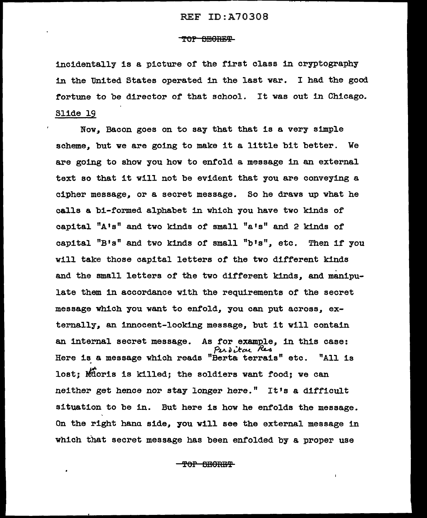### TOP SEGRET

incidentally is a picture or the first class 1n cryptography 1n the United States operated 1n the last war. I had the good fortune to be director or that school. It was out in Chicago. Slide 19

Now, Bacon goes on to say that that is a very simple scheme, but we are going to make it a little bit better. We are going to show you how to enfold a message 1n an external text so that it will not be evident that you are conveying a cipher message, or a secret message. So he draws up what he ca1ls a bi-formed alphabet in which you have two kinds or capital "A's" and two kinds or small "a•s" and 2 kinds or capital "B's" and two kinds or small "b's", etc. Then if you will take those capital letters or the two different kinds and the small letters or the two different kinds, and manipulate them in accordance with the requirements or the secret message which you want to enfold, you can put across, externally, an innocent-looking message, but it will contain an internal secret message. As for example, in this case: *PVl-o ..:.tCl-C..* ~ Here is a message which reads "Berta terrais" etc. "All is lost; Mioris is killed; the soldiers want food; we can neither get hence nor stay longer here." It's a difficult situation to be in. But here is how he enfolds the message. On the right hana side, you will see the external message in which that secret message has been enfolded by a proper use

**TOP BEORET**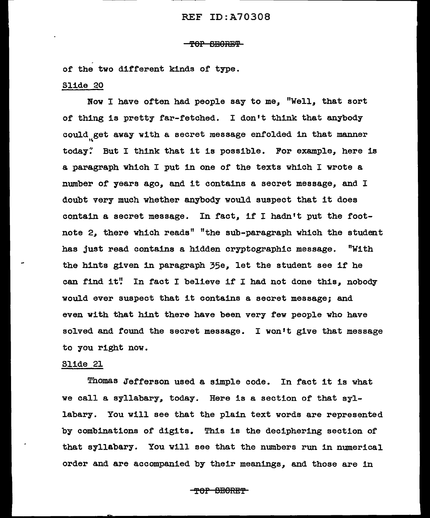## 'f 0P SBORB'P

or the two different kinds or type.

## Slide 20

Now I have often had people say to me. "Well, that sort of thing is pretty far-fetched. I don't think that anybody could get away with a secret message enfolded in that manner today. But I think that it is possible. For example, here is a paragraph which I put in one of the texts which I wrote a number of years ago, and it contains a secret message, and I doubt very much whether anybody would suspect that it does contain a secret message. In fact, if I hadn't put the footnote 2, there which reads" "the sub-paragraph which the student has just read contains a hidden cryptographic message. "With the hints given in paragraph 35e. let the student see if he can find it" In fact I believe if I had not done this, nobody would ever suspect that it contains a secret message; and even with that hint there have been very few people who have solved and found the secret message. I won't give that message to you right now.

## Slide 21

Thomas Jefferson used a simple code. In fact it is what we call a syllabary, today. Here is a section of that syllabary. You will see that the plain text words are represented by combinations of digits. This is the deciphering section of that syllabary. You will see that the numbers run in numerical order and are accompanied by their meanings, and those are in

#### TOP SECRET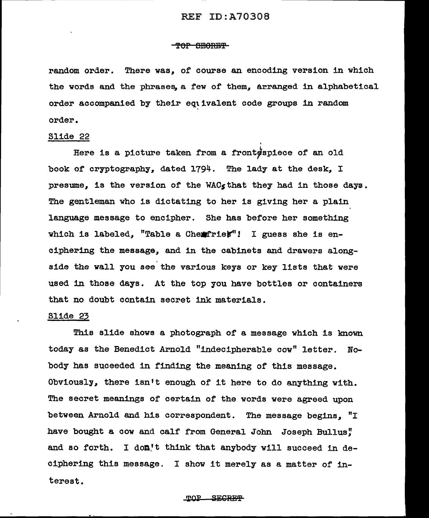#### <del>TOP SEORET</del>

random order. There was, of course an encoding version in which the words and the phrases, a few of them, arranged in alphabetical order accompanied by their eqtivalent code groups in random order.

Slide 22<br>Here is a picture taken from a front spiece of an old book or cryptography, dated 1794. The lady at the desk, I presume, is the version of the WAC<sub>s</sub> that they had in those days. The gentleman who is dictating to her is giving her a plain language message to encipher. She has before her something which is labeled, "Table a Chemirier"! I guess she is enciphering the message, and in the cabinets and drawers alongside the wall you see the various keys or key lists that were used in those days. At the top you have bottles or containers that no doubt contain secret ink materials.

# Slide 23

This slide shows a photograph of a message which is known today as the Benedict Arnold "indecipherable cow" letter. Nobody has suceeded in finding the meaning of this message. Obviously, there isn't enough of it here to do anything with. The secret meanings of certain of the words were agreed upon between Arnold and his correspondent. The message begins, "I have bought a cow and calf from General John Joseph Bullus! and so forth. I don't think that anybody will succeed in deciphering this message. I show it merely as a matter of interest.

#### <u> ጥ በ P</u> **SECRET**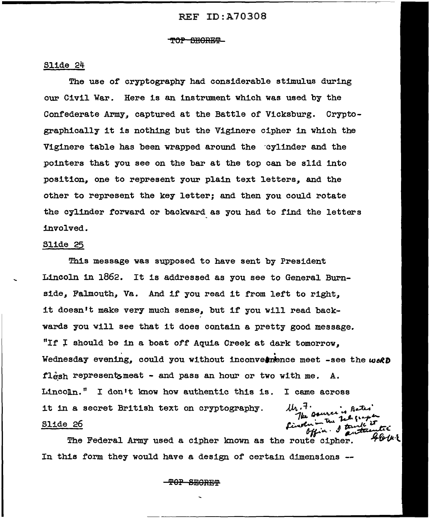#### TOP SEORET

### Slide 24

The use or cryptography had considerable stimulus during our Civil War. Here is an instrument which was used by the Confederate Army, captured at the Battle of Vicksburg. Cryptographically it is nothing but the Viginere cipher in which the Viginere table has been wrapped around the ·cylinder and the pointers that you see on the bar at the top can be slid into position, one to represent your plain text letters, and the other to represent the key letter; and then you could rotate the cylinder forward or backward as you had to find the letters involved.

#### SJ.ide 25

This message was supposed to have sent by President Lincoln in 1862. It is addressed as you see to General Burnside, Falmouth, Va. And if you read it from left to right, it doesn't make very much sense, but if you will read backwards you will see that it does contain a pretty good message. "If  $I$  should be in a boat off Aquia Creek at dark tomorrow. Wednesday evening, could you without inconvernence meet -see the  $w \circ R$ fl $\frac{1}{2}$  represents meat - and pass an hour or two with me. A.  $LincoIn.$ " I don't know how authentic this is. I came across th.7.<br>The source is Bated it in a secret British text on cryptography. Slide 26 Pinole

The Federal Army used a cipher known as the route cipher. In this form they would have a design or certain dimensions --

'POP SEORE'P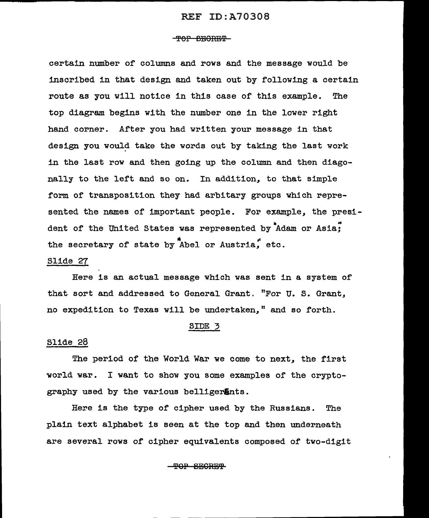#### <del>-TOP SEORET</del>

certain number of columns and rows and the message would be inscribed in that design and taken out by following a certain route as you will notice in this case of this example. The top diagram begins with the number one in the lower right hand corner. After you had written your message in that design you would take the words out by taking the last work in the last row and then going up the column and then diagonally to the left and so on. In addition, to that simple form of transposition they had arbitary groups which represented the names of important people. For example, the president of the United States was represented by  $A$ dam or Asia; the secretary of state by Abel or Austria, etc.

# Slide 27

Here is an actual message which was sent in a system of that sort and addressed to General Grant. "For U. S. Grant, no expedition to Texas will be undertaken," and so forth.

## SIDE 3

### Slide 28

The period of the World War we come to next, the first world war. I want to show you some examples or the cryptography used by the various belligerEnts.

Here is the type of cipher used by the Russians. The plain text alphabet is seen at the top and then underneath are several rows of cipher equivalents composed of two-digit

# $P$ OP SECRET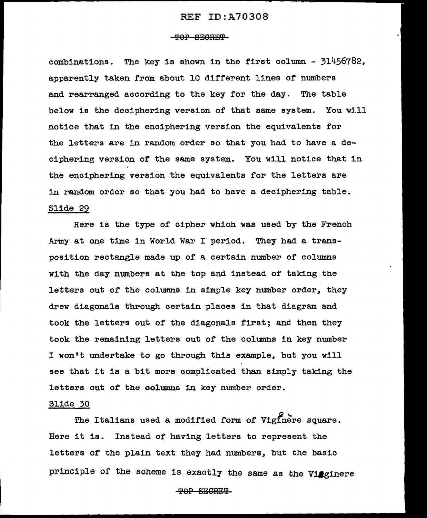## -TOP SECRET

combinations. The key is shown in the first column - 31456782, apparently taken from about 10 different lines of numbers and rearranged according to the key for the day. The table below is the deciphering version of that same system. You will notice that in the enciphering version the equivalents for the letters are in random order so that you had to have a deciphering version of the same system. You will notice that in the enciphering version the equivalents for the letters are in random order so that you had to have a deciphering table. Slide 29

Here is the type or cipher which was used by the French Army at one time in World War I period. They had a transposition rectangle made up or a certain number of columns with the day numbers at the top and instead of taking the letters out or the columns in simple key number order, they drew diagonals through certain places in that diagram and took the letters out of the diagonals first; and then they took the remaining letters out of the columns in key number I won't undertake to go through this example, but you will see that it is a bit more complicated than simply taking the letters out of the columns in key number order.

## Slide 30

The Italians used a modified form of Viginere square. Here it is. Instead of having letters to represent the letters of the plain text they had numbers, but the basic principle of the scheme is exactly the same as the Vieginere

~OP SBGREW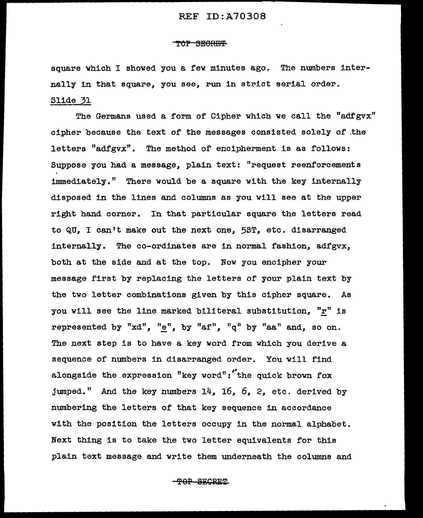#### ''<del>NOP SECRET</del>

square which I showed you a few minutes ago. The numbers internally in that square, you see, run in strict serial order. Slide 31

The Germans used a form of Cipher which we call the "adfgvx" cipher because the text of the messages consisted solely of .the letters  $"adfgvx"$ . The method of encipherment is as follows: Suppose you had a message, plain text: "request reenforcements immediately." There would be a. square with the key internally disposed in the lines and columns as you will see at the upper right hand corner. In that particular square the letters read to QU. I can't make out the next one. 5ST. etc. disarranged internally. The co-ordinates are in normal fashion, adfgvx, both at the side and at the top. Now you encipher your message first by replacing the letters of your plain text by the two letter combinations given by this cipher square. As you will see the line marked biliteral substitution,  $"r"$  is represented by " $xd$ ", " $\underline{e}$ ", by " $af$ ", " $q$ " by " $aa$ " and, so on. The next step is to have a key word from which you derive a sequence of numbers in disarranged order. You will find alongside the expression "key word":  $t$  the quick brown fox jumped." And the key numbers 14, 16, 6, 2, etc. derived by numbering the letters of that key sequence in accordance with the position the letters occupy in the normal alphabet. Next thing is to take the two letter equivalents for this plain text message and write them underneath the columns and

**-TOP SECRET**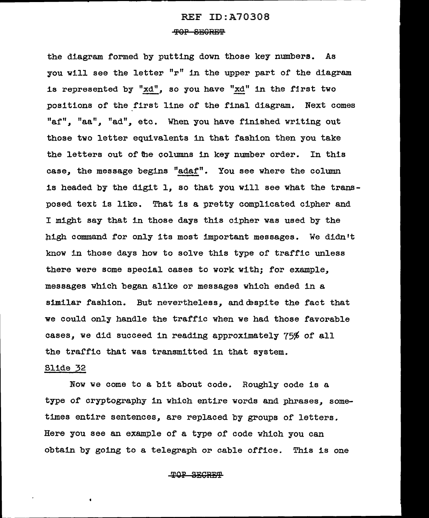### TOP SECRET

the diagram formed by putting down those key numbers. As you will see the letter "r" in the upper part of the diagram 1.s represented by "xd", so you have "xd" in the first two positions of the first line of the final diagram. Next comes "af", "aa", "ad", etc. When you have finished writing out those two letter equivalents in that fashion then you take the letters out of the columns 1n key number order. In this case, the message begins "adaf". You see where the column is headed by the digit 1, so that you will see what the transposed text is like. That is a pretty complicated cipher and I might say that in those days this cipher was used by the high command for only its most important messages. We didn't know in those days how to solve this type of traffic unless there were some special cases to work with; for example, messages which began alike or messages which ended in a similar fashion. But nevertheless, and despite the fact that we could only handle the traffic when we had those favorable cases, we did succeed in reading approximately 75% of all the traffic that was transmitted in that system.

#### Slide 32

Now we come to a bit about code. Roughly code is a type of cryptography in which entire words and phrases, sometimes entire sentences, are replaced by groups of letters. Here you see an example of a type of code which you can obtain by going to a telegraph or cable office. This is one

## **TOP SECRET**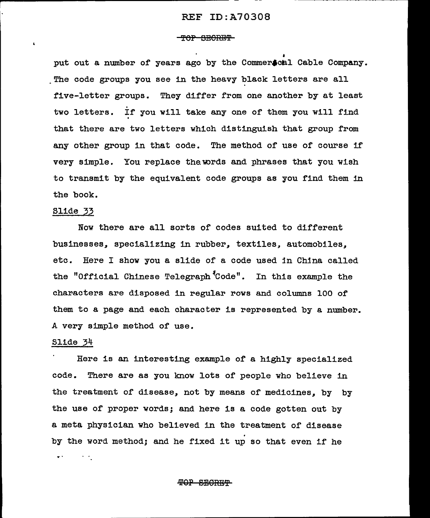#### **-TOP SECRET**

put out a number of years ago by the Commerscal Cable Company. The code groups you see in the heavy black letters are all five-letter groups. They differ from one another by at least two letters. If you will take any one of them you will find that there are two letters which distinguish that group from any other group in that code. The method of use of course if very simple. You replace the words and phrases that you wish to transmit by the equivalent code groups as you find them in the book.

#### Slide 33

Now there are all sorts of codes suited to different businesses, specializing in rubber, textiles, automobiles. etc. Here I show you a slide of a code used in China called the "Official Chinese Telegraph<sup>\$</sup>Code". In this example the characters are disposed in regular rows and columns 100 of them to a page and each character is represented by a number. A very simple method of use.

#### Slide 34

Here is an interesting example of a highly specialized code. There are as you know lots of people who beli.eve in the treatment of disease, not by means of medicines, by by the use of proper words; and here is a code gotten out by a meta physician who believed in the treatment of disease<br>by the word method; and he fixed it up so that even if he  $\mathcal{L}^{\text{max}}$ ..

#### <del>TOP SECRET</del>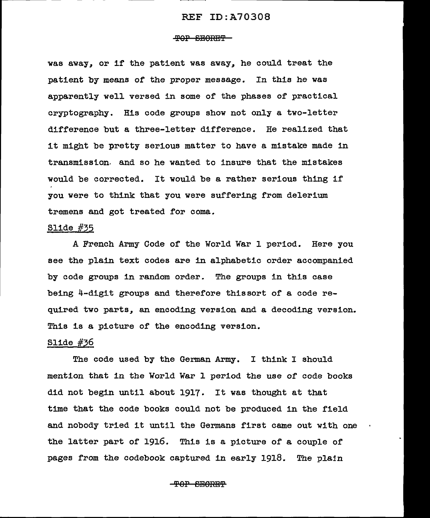#### TOP BEORET

was away, or if the patient was away, he could treat the patient by means of the proper message. In this he was apparently well versed in some of the phases of practical cryptography. His code groups show not only a two-letter difference but a three-letter difference. He realized that it might be pretty serious matter to have a mistake made in transmission. and so he wanted to insure that the mistakes would be corrected. It would be a rather serious thing if you were to think that you were suffering from delerium tremens and got treated for coma.

# Slide #35

A French Army Code of the World War 1 period. Here you see the plain text codes are in alphabetic order accompanied by code groups in random order. The groups in this case being 4-digit groups and therefore thissort of a code required two parts, an encoding version and a decoding version. This is a picture of the encoding version.

## Slide #36

The code used by the German Army. I think I should mention that in the World War 1 period the use of code books did not begin until about 1917. It was thought at that time that the code books could not be produced in the field and nobody tried it until the Germans first came out with one the latter part of 1916. This is a picture of a couple of pages from the codebook captured in early 1918. The plain

TOP BEORET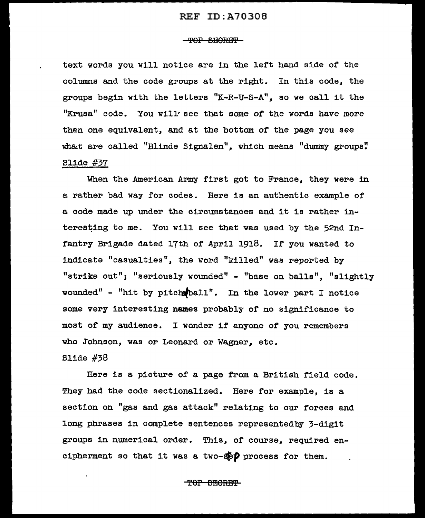## 'f'OP BElORB'f'

text words you will notice are in the left hand side of the columns and the code groups at the right. In this code, the groups begin with the letters "K-R-U-S-A", so we call it the "Krusa" code. You will' see that some of the words have more than one equivalent, and at the bottom of the page you see what are called "Blinde Signalen", which means "dummy groups" Slide #37

When the American Army first got to France, they were in a rather bad way for codes. Here is an authentic example or a code made up under the circumstances and it is rather interesting to me. You will see that was used by the 52nd Infantry Brigade dated 17th of April 1918. If you wanted to indicate "casualties", the word "killed" was reported by "strike out"; "seriously wounded" - "base on balls", "slightly wounded" - "hit by pitch ball". In the lower part I notice some very interesting names probably of no significance to most of my audience. I wander if anyone of you remembers who Johnson, was or Leonard or Wagner, etc.

# Slide #38

Here is a picture of a page from a British field code. They had the code sectionalized. Here for example, is a section on "gas and gas attack" relating to our forces and long phrases in complete sentences representedby 3-digit groups in numerical order. This, of course, required encipherment so that it was a two-spp process for them.

TOP BEGREP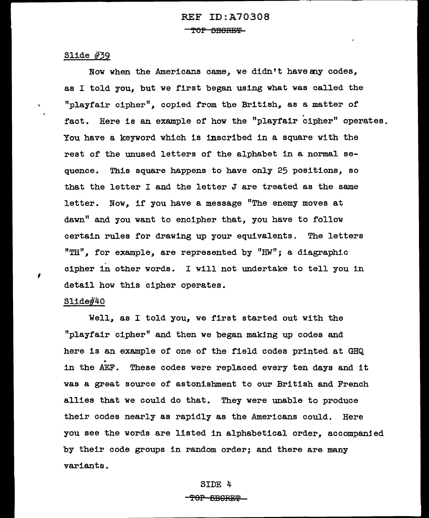# Slide #39

Now when the Americans came, we didn't have any codes, as I told you, but we first began using what was called the "playfair cipher", copied from the British, as a matter of fact. Here is an example of how the "playfair cipher" operates. You have a keyword which is inscribed in a square with the rest of the unused letters of the alphabet in a normal sequence. This square happens to have only 25 positions, so that the letter I and the letter J are treated as the same letter. Now, if you have a message "The enemy moves at dawn" and you want to encipher that, you have to follow certain rules for drawing up your equivalents. The letters  $"TH"$ , for example, are represented by  $"HW"$ ; a diagraphic cipher in other words. I will not undertake to tell you in detail how this cipher operates.

# Slide#40

,

 $\bar{\mathbf{x}}$ 

Well, as I told you, we first started out with the <sup>11</sup> playfa1r cipher" and then we began making up codes and here is an example of one of the field codes printed at GHQ<br>in the AEF. These codes were replaced every ten days and it was a great source of astonishment to our British and French allies that we could do that. They were unable to produce their codes nearly as rapidly as the Americans could. Here you see the words are listed in alphabetical order, accompanied by their code groups in random order; and there are many variants.

#### SIDE 4

#### <del>TOP SECRET</del>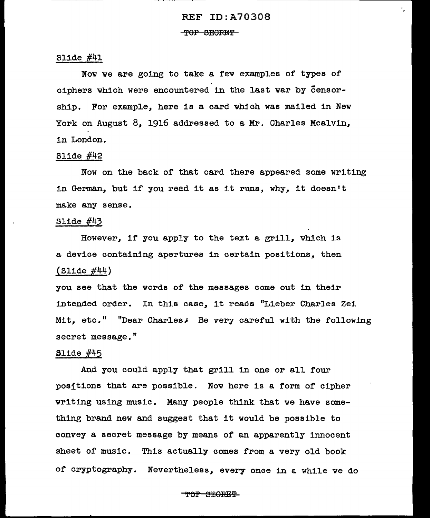۰.

'f OP SEORE'f

# Slide #41

Now we are going to take a few examples of types of ciphers which were encountered in the last war by Censorship. For example, here is a card whjch was mailed in New York on August 8, 1916 addressed to a Mr. Charles Mcalvin, in London.

# Slide  $#42$

Now on the back of that card there appeared some writing in German, but if you read it as it runs, why, it doesn't make any sense.

#### Slide #43

However, if you apply to the text a grill, which is a device containing apertures in certain positions, then  $(S11d e #44)$ 

you see that the words of the messages come out in the1.r intended order. In this case, it reads "Lieber Charles Zei Mit, etc." "Dear Charles; Be very careful with the following secret message."

# Slide  $#45$

And you could apply that grill in one or all four posftions that are possible. Now here is a form of cipher writing using music. Many people think that we have something brand new and suggest that it would be possible to convey a secret message by means of an apparently innocent sheet of music. This actually comes from a very old book of cryptography. Nevertheless, every once in a while we do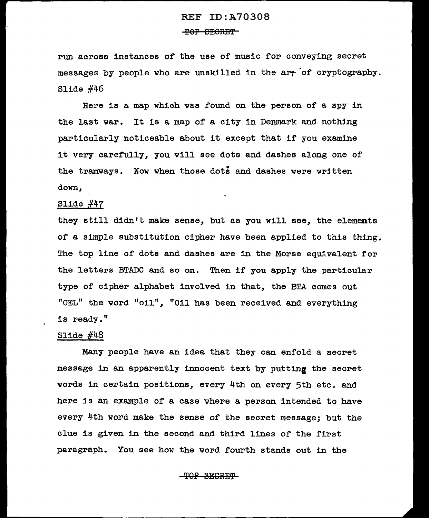## THOR FOR THE

run across instances of the use of musi.c for conveying secret messages by people who are unskilled in the arr of cryptography. Slide  $#46$ 

Here is a map which was found on the person of a spy in the last war. It is a map of a city in Denmark and nothing particularly not1.ceable about it except that if you examine it very carefully, you will see dots and dashes along one of the tramways. Now when those dots and dashes were written down,

# Slide  $#47$

they still didn't make sense, but as you will see, the elements of a simple substitution cipher have been applied to this thing. The top line of dots and dashes are in the Morse equivalent for the letters BTADC and so on. Then if you apply the particular type of cipher alphabet involved in that, the BTA comes out "OEL" the word "oil", "Oil has been received and everything is ready."

# Slide  $#48$

Many people have an idea that they can enfold a secret message in an apparently innocent text by putting the secret words in certain positions, every 4th on every 5th etc. and here is an example of a case where a person intended to have every 4th word make the sense of the secret message; but the clue is given in the second and third lines of the first paragraph. You see how the word fourth stands out in the

#### <del>TOP SECRET</del>